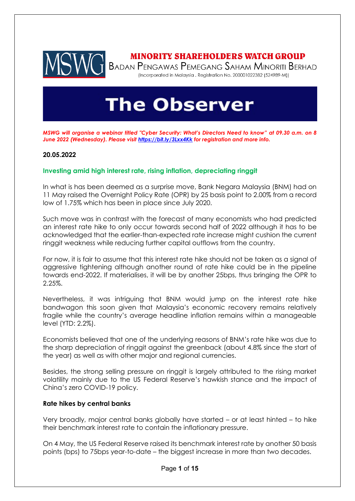

## **MINORITY SHAREHOLDERS WATCH GROUP**

BADAN PENGAWAS PEMEGANG SAHAM MINORITI BERHAD (Incorporated in Malaysia . Registration No. 200001022382 (524989-M))

# **The Observer**

*MSWG will organise a webinar titled "Cyber Security: What's Directors Need to know" at 09.30 a.m. on 8 June 2022 (Wednesday). Please visit <https://bit.ly/3Lxx4Kk> for registration and more info.* 

#### **20.05.2022**

#### **Investing amid high interest rate, rising inflation, depreciating ringgit**

In what is has been deemed as a surprise move, Bank Negara Malaysia (BNM) had on 11 May raised the Overnight Policy Rate (OPR) by 25 basis point to 2.00% from a record low of 1.75% which has been in place since July 2020.

Such move was in contrast with the forecast of many economists who had predicted an interest rate hike to only occur towards second half of 2022 although it has to be acknowledged that the earlier-than-expected rate increase might cushion the current ringgit weakness while reducing further capital outflows from the country.

For now, it is fair to assume that this interest rate hike should not be taken as a signal of aggressive tightening although another round of rate hike could be in the pipeline towards end-2022. If materialises, it will be by another 25bps, thus bringing the OPR to 2.25%.

Nevertheless, it was intriguing that BNM would jump on the interest rate hike bandwagon this soon given that Malaysia's economic recovery remains relatively fragile while the country's average headline inflation remains within a manageable level (YTD: 2.2%).

Economists believed that one of the underlying reasons of BNM's rate hike was due to the sharp depreciation of ringgit against the greenback (about 4.8% since the start of the year) as well as with other major and regional currencies.

Besides, the strong selling pressure on ringgit is largely attributed to the rising market volatility mainly due to the US Federal Reserve's hawkish stance and the impact of China's zero COVID-19 policy.

#### **Rate hikes by central banks**

Very broadly, major central banks globally have started – or at least hinted – to hike their benchmark interest rate to contain the inflationary pressure.

On 4 May, the US Federal Reserve raised its benchmark interest rate by another 50 basis points (bps) to 75bps year-to-date – the biggest increase in more than two decades.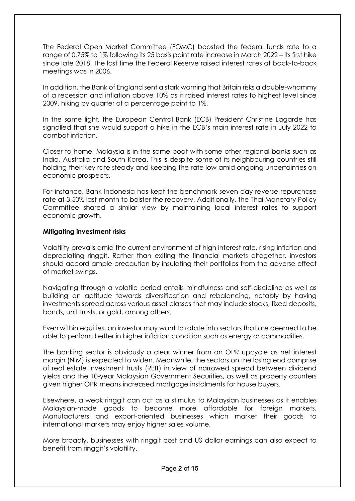The Federal Open Market Committee (FOMC) boosted the federal funds rate to a range of 0.75% to 1% following its 25 basis point rate increase in March 2022 – its first hike since late 2018. The last time the Federal Reserve raised interest rates at back-to-back meetings was in 2006.

In addition, the Bank of England sent a stark warning that Britain risks a double-whammy of a recession and inflation above 10% as it raised interest rates to highest level since 2009, hiking by quarter of a percentage point to 1%.

In the same light, the European Central Bank (ECB) President Christine Lagarde has signalled that she would support a hike in the ECB's main interest rate in July 2022 to combat inflation.

Closer to home, Malaysia is in the same boat with some other regional banks such as India, Australia and South Korea. This is despite some of its neighbouring countries still holding their key rate steady and keeping the rate low amid ongoing uncertainties on economic prospects.

For instance, Bank Indonesia has kept the benchmark seven-day reverse repurchase rate at 3.50% last month to bolster the recovery. Additionally, the Thai Monetary Policy Committee shared a similar view by maintaining local interest rates to support economic growth.

## **Mitigating investment risks**

Volatility prevails amid the current environment of high interest rate, rising inflation and depreciating ringgit. Rather than exiting the financial markets altogether, investors should accord ample precaution by insulating their portfolios from the adverse effect of market swings.

Navigating through a volatile period entails mindfulness and self-discipline as well as building an aptitude towards diversification and rebalancing, notably by having investments spread across various asset classes that may include stocks, fixed deposits, bonds, unit trusts, or gold, among others.

Even within equities, an investor may want to rotate into sectors that are deemed to be able to perform better in higher inflation condition such as energy or commodities.

The banking sector is obviously a clear winner from an OPR upcycle as net interest margin (NIM) is expected to widen. Meanwhile, the sectors on the losing end comprise of real estate investment trusts (REIT) in view of narrowed spread between dividend yields and the 10-year Malaysian Government Securities, as well as property counters given higher OPR means increased mortgage instalments for house buyers.

Elsewhere, a weak ringgit can act as a stimulus to Malaysian businesses as it enables Malaysian-made goods to become more affordable for foreign markets. Manufacturers and export-oriented businesses which market their goods to international markets may enjoy higher sales volume.

More broadly, businesses with ringgit cost and US dollar earnings can also expect to benefit from ringgit's volatility.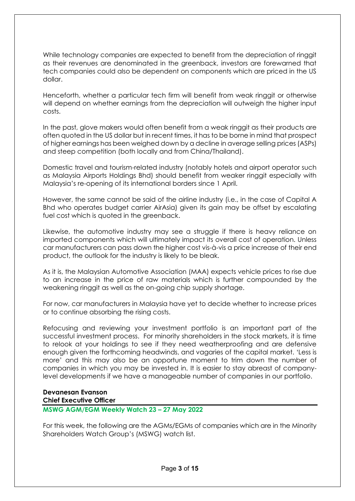While technology companies are expected to benefit from the depreciation of ringgit as their revenues are denominated in the greenback, investors are forewarned that tech companies could also be dependent on components which are priced in the US dollar.

Henceforth, whether a particular tech firm will benefit from weak ringgit or otherwise will depend on whether earnings from the depreciation will outweigh the higher input costs.

In the past, glove makers would often benefit from a weak ringgit as their products are often quoted in the US dollar but in recent times, it has to be borne in mind that prospect of higher earnings has been weighed down by a decline in average selling prices (ASPs) and steep competition (both locally and from China/Thailand).

Domestic travel and tourism-related industry (notably hotels and airport operator such as Malaysia Airports Holdings Bhd) should benefit from weaker ringgit especially with Malaysia's re-opening of its international borders since 1 April.

However, the same cannot be said of the airline industry (i.e., in the case of Capital A Bhd who operates budget carrier AirAsia) given its gain may be offset by escalating fuel cost which is quoted in the greenback.

Likewise, the automotive industry may see a struggle if there is heavy reliance on imported components which will ultimately impact its overall cost of operation. Unless car manufacturers can pass down the higher cost vis-à-vis a price increase of their end product, the outlook for the industry is likely to be bleak.

As it is, the Malaysian Automotive Association (MAA) expects vehicle prices to rise due to an increase in the price of raw materials which is further compounded by the weakening ringgit as well as the on-going chip supply shortage.

For now, car manufacturers in Malaysia have yet to decide whether to increase prices or to continue absorbing the rising costs.

Refocusing and reviewing your investment portfolio is an important part of the successful investment process. For minority shareholders in the stock markets, it is time to relook at your holdings to see if they need weatherproofing and are defensive enough given the forthcoming headwinds, and vagaries of the capital market. 'Less is more' and this may also be an opportune moment to trim down the number of companies in which you may be invested in. It is easier to stay abreast of companylevel developments if we have a manageable number of companies in our portfolio.

## **Devanesan Evanson Chief Executive Officer**

## **MSWG AGM/EGM Weekly Watch 23 – 27 May 2022**

For this week, the following are the AGMs/EGMs of companies which are in the Minority Shareholders Watch Group's (MSWG) watch list.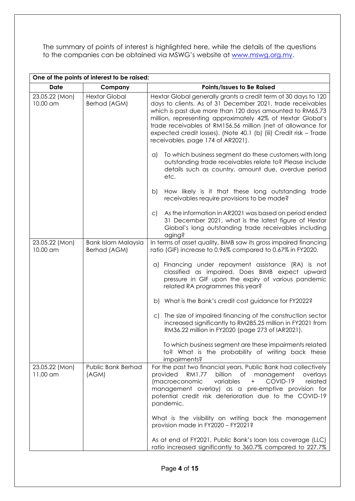The summary of points of interest is highlighted here, while the details of the questions to the companies can be obtained via MSWG's website at [www.mswg.org.my.](http://www.mswg.org.my/)

| One of the points of interest to be raised: |                                            |                                                                                                                                                                                                                                                                                                                                                                                                                                 |  |
|---------------------------------------------|--------------------------------------------|---------------------------------------------------------------------------------------------------------------------------------------------------------------------------------------------------------------------------------------------------------------------------------------------------------------------------------------------------------------------------------------------------------------------------------|--|
| <b>Date</b>                                 | Company                                    | Points/Issues to Be Raised                                                                                                                                                                                                                                                                                                                                                                                                      |  |
| 23.05.22 (Mon)<br>10.00 am                  | <b>Hextar Global</b><br>Berhad (AGM)       | Hextar Global generally grants a credit term of 30 days to 120<br>days to clients. As of 31 December 2021, trade receivables<br>which is past due more than 120 days amounted to RM65.73<br>million, representing approximately 42% of Hextar Global's<br>trade receivables of RM156.56 million (net of allowance for<br>expected credit losses). (Note 40.1 (b) (iii) Credit risk - Trade<br>receivables, page 174 of AR2021). |  |
|                                             |                                            | To which business segment do these customers with long<br>a)<br>outstanding trade receivables relate to? Please include<br>details such as country, amount due, overdue period<br>etc.                                                                                                                                                                                                                                          |  |
|                                             |                                            | How likely is it that these long outstanding trade<br>b)<br>receivables require provisions to be made?                                                                                                                                                                                                                                                                                                                          |  |
|                                             |                                            | As the information in AR2021 was based on period ended<br>$\subset$ )<br>31 December 2021, what is the latest figure of Hextar<br>Global's long outstanding trade receivables including<br>aging?                                                                                                                                                                                                                               |  |
| 23.05.22 (Mon)<br>10.00 am                  | <b>Bank Islam Malaysia</b><br>Berhad (AGM) | In terms of asset quality, BIMB saw its gross impaired financing<br>ratio (GIF) increase to 0.96% compared to 0.67% in FY2020.                                                                                                                                                                                                                                                                                                  |  |
|                                             |                                            | a) Financing under repayment assistance (RA) is not<br>classified as impaired. Does BIMB expect upward<br>pressure in GIF upon the expiry of various pandemic<br>related RA programmes this year?                                                                                                                                                                                                                               |  |
|                                             |                                            | b) What is the Bank's credit cost guidance for FY2022?                                                                                                                                                                                                                                                                                                                                                                          |  |
|                                             |                                            | The size of impaired financing of the construction sector<br>C)<br>increased significantly to RM285.25 million in FY2021 from<br>RM36.22 million in FY2020 (page 273 of IAR2021).                                                                                                                                                                                                                                               |  |
|                                             |                                            | To which business segment are these impairments related<br>to? What is the probability of writing back these<br>impairments?                                                                                                                                                                                                                                                                                                    |  |
| 23.05.22 (Mon)<br>11.00 am                  | <b>Public Bank Berhad</b><br>(AGM)         | For the past two financial years, Public Bank had collectively<br>provided<br>billion<br>RM1.77<br>of<br>management<br>overlays<br>related<br>COVID-19<br>(macroeconomic<br>variables<br>$\pm$<br>management overlay) as a pre-emptive provision for<br>potential credit risk deterioration due to the COVID-19<br>pandemic.                                                                                                    |  |
|                                             |                                            | What is the visibility on writing back the management<br>provision made in FY2020 - FY2021?                                                                                                                                                                                                                                                                                                                                     |  |
|                                             |                                            | As at end of FY2021, Public Bank's loan loss coverage (LLC)<br>ratio increased significantly to 360.7% compared to 227.7%                                                                                                                                                                                                                                                                                                       |  |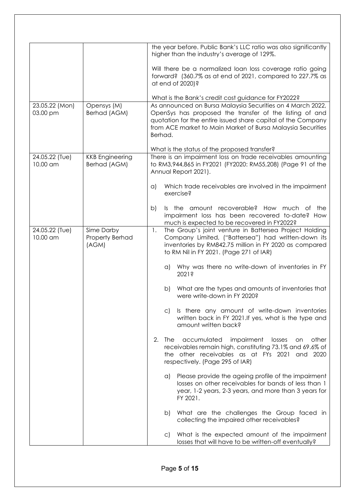|                            |                                        | the year before. Public Bank's LLC ratio was also significantly<br>higher than the industry's average of 129%.                                                                                                                                                  |
|----------------------------|----------------------------------------|-----------------------------------------------------------------------------------------------------------------------------------------------------------------------------------------------------------------------------------------------------------------|
|                            |                                        | Will there be a normalized loan loss coverage ratio going<br>forward? (360.7% as at end of 2021, compared to 227.7% as<br>at end of 2020)?                                                                                                                      |
|                            |                                        | What is the Bank's credit cost guidance for FY2022?                                                                                                                                                                                                             |
| 23.05.22 (Mon)<br>03.00 pm | Opensys (M)<br>Berhad (AGM)            | As announced on Bursa Malaysia Securities on 4 March 2022,<br>OpenSys has proposed the transfer of the listing of and<br>quotation for the entire issued share capital of the Company<br>from ACE market to Main Market of Bursa Malaysia Securities<br>Berhad. |
| 24.05.22 (Tue)             | <b>KKB</b> Engineering                 | What is the status of the proposed transfer?<br>There is an impairment loss on trade receivables amounting                                                                                                                                                      |
| 10.00 am                   | Berhad (AGM)                           | to RM3,944,865 in FY2021 (FY2020: RM55,208) (Page 91 of the<br>Annual Report 2021).                                                                                                                                                                             |
|                            |                                        | Which trade receivables are involved in the impairment<br>a)<br>exercise?                                                                                                                                                                                       |
|                            |                                        | Is the amount recoverable? How much of the<br>b)<br>impairment loss has been recovered to-date? How<br>much is expected to be recovered in FY2022?                                                                                                              |
| 24.05.22 (Tue)<br>10.00 am | Sime Darby<br>Property Berhad<br>(AGM) | The Group's joint venture in Battersea Project Holding<br>1.<br>Company Limited, ("Battersea") had written-down its<br>inventories by RM842.75 million in FY 2020 as compared<br>to RM Nil in FY 2021. (Page 271 of IAR)                                        |
|                            |                                        | Why was there no write-down of inventories in FY<br>a)<br>2021?                                                                                                                                                                                                 |
|                            |                                        | What are the types and amounts of inventories that<br>b)<br>were write-down in FY 2020?                                                                                                                                                                         |
|                            |                                        | Is there any amount of write-down inventories<br>$\mathsf{C}$<br>written back in FY 2021. If yes, what is the type and<br>amount written back?                                                                                                                  |
|                            |                                        | 2.<br>accumulated<br>impairment<br>The<br>other<br>losses<br>on<br>receivables remain high, constituting 73.1% and 69.6% of<br>the other receivables as at FYs 2021 and 2020<br>respectively. (Page 295 of IAR)                                                 |
|                            |                                        | Please provide the ageing profile of the impairment<br>a)<br>losses on other receivables for bands of less than 1<br>year, 1-2 years, 2-3 years, and more than 3 years for<br>FY 2021.                                                                          |
|                            |                                        | What are the challenges the Group faced in<br>b)<br>collecting the impaired other receivables?                                                                                                                                                                  |
|                            |                                        | What is the expected amount of the impairment<br>$\subset$ )<br>losses that will have to be written-off eventually?                                                                                                                                             |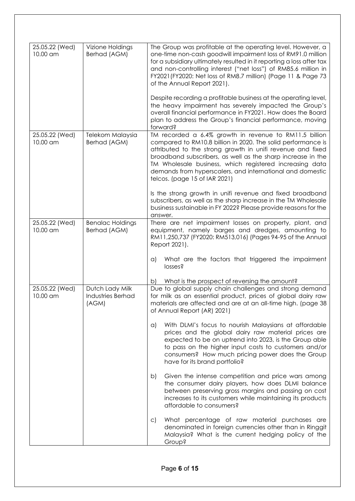| 25.05.22 (Wed)<br>10.00 am | Vizione Holdings<br>Berhad (AGM)                     | The Group was profitable at the operating level. However, a<br>one-time non-cash goodwill impairment loss of RM91.0 million<br>for a subsidiary ultimately resulted in it reporting a loss after tax<br>and non-controlling interest ("net loss") of RM85.6 million in<br>FY2021 (FY2020: Net loss of RM8.7 million) (Page 11 & Page 73<br>of the Annual Report 2021).<br>Despite recording a profitable business at the operating level,<br>the heavy impairment has severely impacted the Group's |
|----------------------------|------------------------------------------------------|-----------------------------------------------------------------------------------------------------------------------------------------------------------------------------------------------------------------------------------------------------------------------------------------------------------------------------------------------------------------------------------------------------------------------------------------------------------------------------------------------------|
|                            |                                                      | overall financial performance in FY2021. How does the Board<br>plan to address the Group's financial performance, moving<br>forward?                                                                                                                                                                                                                                                                                                                                                                |
| 25.05.22 (Wed)<br>10.00 am | Telekom Malaysia<br>Berhad (AGM)                     | TM recorded a 6.4% growth in revenue to RM11.5 billion<br>compared to RM10.8 billion in 2020. The solid performance is<br>attributed to the strong growth in unifi revenue and fixed<br>broadband subscribers, as well as the sharp increase in the<br>TM Wholesale business, which registered increasing data<br>demands from hyperscalers, and international and domestic<br>telcos. (page 15 of IAR 2021)                                                                                        |
|                            |                                                      | Is the strong growth in unifi revenue and fixed broadband<br>subscribers, as well as the sharp increase in the TM Wholesale<br>business sustainable in FY 2022? Please provide reasons for the<br>answer.                                                                                                                                                                                                                                                                                           |
| 25.05.22 (Wed)<br>10.00 am | <b>Benalac Holdings</b><br>Berhad (AGM)              | There are net impairment losses on property, plant, and<br>equipment, namely barges and dredges, amounting to<br>RM11,250,737 (FY2020: RM513,016) (Pages 94-95 of the Annual<br>Report 2021).                                                                                                                                                                                                                                                                                                       |
|                            |                                                      | What are the factors that triggered the impairment<br>$\alpha$<br>losses?                                                                                                                                                                                                                                                                                                                                                                                                                           |
| 25.05.22 (Wed)<br>10.00 am | Dutch Lady Milk<br><b>Industries Berhad</b><br>(AGM) | What is the prospect of reversing the amount?<br>b)<br>Due to global supply chain challenges and strong demand<br>for milk as an essential product, prices of global dairy raw<br>materials are affected and are at an all-time high. (page 38<br>of Annual Report (AR) 2021)                                                                                                                                                                                                                       |
|                            |                                                      | With DLMI's focus to nourish Malaysians at affordable<br>a)<br>prices and the global dairy raw material prices are<br>expected to be on uptrend into 2023, is the Group able<br>to pass on the higher input costs to customers and/or<br>consumers? How much pricing power does the Group<br>have for its brand portfolio?                                                                                                                                                                          |
|                            |                                                      | Given the intense competition and price wars among<br>b)<br>the consumer dairy players, how does DLMI balance<br>between preserving gross margins and passing on cost<br>increases to its customers while maintaining its products<br>affordable to consumers?                                                                                                                                                                                                                                      |
|                            |                                                      | What percentage of raw material purchases are<br>$\mathsf{C}$<br>denominated in foreign currencies other than in Ringgit<br>Malaysia? What is the current hedging policy of the<br>Group?                                                                                                                                                                                                                                                                                                           |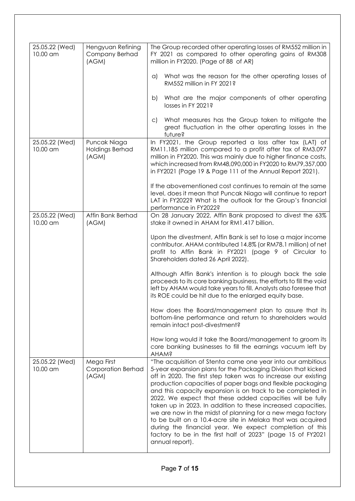| 25.05.22 (Wed)<br>10.00 am | Hengyuan Refining<br>Company Berhad<br>(AGM)     | The Group recorded other operating losses of RM552 million in<br>FY 2021 as compared to other operating gains of RM308<br>million in FY2020. (Page of 88 of AR)                                                                                                                                                                                                                                                                                                                                                                                                                                                                                                                                                                   |
|----------------------------|--------------------------------------------------|-----------------------------------------------------------------------------------------------------------------------------------------------------------------------------------------------------------------------------------------------------------------------------------------------------------------------------------------------------------------------------------------------------------------------------------------------------------------------------------------------------------------------------------------------------------------------------------------------------------------------------------------------------------------------------------------------------------------------------------|
|                            |                                                  | What was the reason for the other operating losses of<br>a)<br>RM552 million in FY 2021?                                                                                                                                                                                                                                                                                                                                                                                                                                                                                                                                                                                                                                          |
|                            |                                                  | What are the major components of other operating<br>b)<br>losses in FY 2021?                                                                                                                                                                                                                                                                                                                                                                                                                                                                                                                                                                                                                                                      |
|                            |                                                  | What measures has the Group taken to mitigate the<br>$\mathsf{C}$<br>great fluctuation in the other operating losses in the<br>future?                                                                                                                                                                                                                                                                                                                                                                                                                                                                                                                                                                                            |
| 25.05.22 (Wed)<br>10.00 am | Puncak Niaga<br>Holdings Berhad<br>(AGM)         | In FY2021, the Group reported a loss after tax (LAT) of<br>RM11.185 million compared to a profit after tax of RM3.097<br>million in FY2020. This was mainly due to higher finance costs,<br>which increased from RM48,090,000 in FY2020 to RM79,357,000<br>in FY2021 (Page 19 & Page 111 of the Annual Report 2021).                                                                                                                                                                                                                                                                                                                                                                                                              |
|                            |                                                  | If the abovementioned cost continues to remain at the same<br>level, does it mean that Puncak Niaga will continue to report<br>LAT in FY2022? What is the outlook for the Group's financial<br>performance in FY2022?                                                                                                                                                                                                                                                                                                                                                                                                                                                                                                             |
| 25.05.22 (Wed)<br>10.00 am | Affin Bank Berhad<br>(AGM)                       | On 28 January 2022, Affin Bank proposed to divest the 63%<br>stake it owned in AHAM for RM1.417 billion.                                                                                                                                                                                                                                                                                                                                                                                                                                                                                                                                                                                                                          |
|                            |                                                  | Upon the divestment, Affin Bank is set to lose a major income<br>contributor. AHAM contributed 14.8% (or RM78.1 million) of net<br>profit to Affin Bank in FY2021 (page 9 of Circular to<br>Shareholders dated 26 April 2022).                                                                                                                                                                                                                                                                                                                                                                                                                                                                                                    |
|                            |                                                  | Although Affin Bank's intention is to plough back the sale<br>proceeds to its core banking business, the efforts to fill the void<br>left by AHAM would take years to fill. Analysts also foresee that<br>its ROE could be hit due to the enlarged equity base.                                                                                                                                                                                                                                                                                                                                                                                                                                                                   |
|                            |                                                  | How does the Board/management plan to assure that its<br>bottom-line performance and return to shareholders would<br>remain intact post-divestment?                                                                                                                                                                                                                                                                                                                                                                                                                                                                                                                                                                               |
|                            |                                                  | How long would it take the Board/management to groom its<br>core banking businesses to fill the earnings vacuum left by<br><b>AHAM?</b>                                                                                                                                                                                                                                                                                                                                                                                                                                                                                                                                                                                           |
| 25.05.22 (Wed)<br>10.00 am | Mega First<br><b>Corporation Berhad</b><br>(AGM) | "The acquisition of Stenta came one year into our ambitious<br>5-year expansion plans for the Packaging Division that kicked<br>off in 2020. The first step taken was to increase our existing<br>production capacities of paper bags and flexible packaging<br>and this capacity expansion is on track to be completed in<br>2022. We expect that these added capacities will be fully<br>taken up in 2023. In addition to these increased capacities,<br>we are now in the midst of planning for a new mega factory<br>to be built on a 10.4-acre site in Melaka that was acquired<br>during the financial year. We expect completion of this<br>factory to be in the first half of 2023" (page 15 of FY2021<br>annual report). |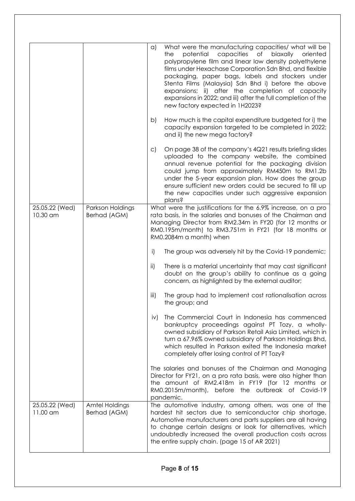|                            |                                       | What were the manufacturing capacities/ what will be<br>$\alpha$<br>potential<br>capacities<br>of<br>biaxally<br>oriented<br>the<br>polypropylene film and linear low density polyethylene<br>films under Hexachase Corporation Sdn Bhd, and flexible<br>packaging, paper bags, labels and stockers under<br>Stenta Films (Malaysia) Sdn Bhd i) before the above<br>expansions; ii) after the completion of capacity<br>expansions in 2022; and iii) after the full completion of the<br>new factory expected in 1H2023? |
|----------------------------|---------------------------------------|--------------------------------------------------------------------------------------------------------------------------------------------------------------------------------------------------------------------------------------------------------------------------------------------------------------------------------------------------------------------------------------------------------------------------------------------------------------------------------------------------------------------------|
|                            |                                       | How much is the capital expenditure budgeted for i) the<br>b)<br>capacity expansion targeted to be completed in 2022;<br>and ii) the new mega factory?                                                                                                                                                                                                                                                                                                                                                                   |
|                            |                                       | On page 38 of the company's 4Q21 results briefing slides<br>$\circ$ )<br>uploaded to the company website, the combined<br>annual revenue potential for the packaging division<br>could jump from approximately RM450m to RM1.2b<br>under the 5-year expansion plan. How does the group<br>ensure sufficient new orders could be secured to fill up<br>the new capacities under such aggressive expansion<br>plans?                                                                                                       |
| 25.05.22 (Wed)<br>10.30 am | Parkson Holdings<br>Berhad (AGM)      | What were the justifications for the 6.9% increase, on a pro<br>rata basis, in the salaries and bonuses of the Chairman and<br>Managing Director from RM2.34m in FY20 (for 12 months or<br>RM0.195m/month) to RM3.751m in FY21 (for 18 months or<br>RM0.2084m a month) when                                                                                                                                                                                                                                              |
|                            |                                       | i)<br>The group was adversely hit by the Covid-19 pandemic;                                                                                                                                                                                                                                                                                                                                                                                                                                                              |
|                            |                                       | $\mathsf{ii}$<br>There is a material uncertainty that may cast significant<br>doubt on the group's ability to continue as a going<br>concern, as highlighted by the external auditor;                                                                                                                                                                                                                                                                                                                                    |
|                            |                                       | The group had to implement cost rationalisation across<br>iii)<br>the group; and                                                                                                                                                                                                                                                                                                                                                                                                                                         |
|                            |                                       | The Commercial Court in Indonesia has commenced<br>iv)<br>bankruptcy proceedings against PT Tozy, a wholly-<br>owned subsidiary of Parkson Retail Asia Limited, which in<br>turn a 67.96% owned subsidiary of Parkson Holdings Bhd,<br>which resulted in Parkson exited the Indonesia market<br>completely after losing control of PT Tozy?                                                                                                                                                                              |
|                            |                                       | The salaries and bonuses of the Chairman and Managing<br>Director for FY21, on a pro rata basis, were also higher than<br>the amount of RM2.418m in FY19 (for 12 months or<br>RM0.2015m/month), before the outbreak of Covid-19<br>pandemic.                                                                                                                                                                                                                                                                             |
| 25.05.22 (Wed)<br>11.00 am | <b>Amtel Holdings</b><br>Berhad (AGM) | The automotive industry, among others, was one of the<br>hardest hit sectors due to semiconductor chip shortage.<br>Automotive manufacturers and parts suppliers are all having<br>to change certain designs or look for alternatives, which<br>undoubtedly increased the overall production costs across<br>the entire supply chain. (page 15 of AR 2021)                                                                                                                                                               |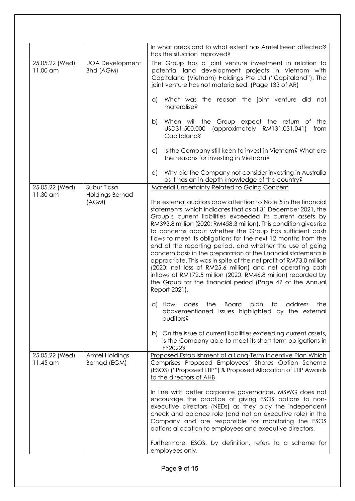|                              |                                            | In what areas and to what extent has Amtel been affected?<br>Has the situation improved?                                                                                                                                                                                                                                                                                                                                                                                                                                                                                                                                                                                                                                                                                                                                                                                                                                                                                                                                                                                |
|------------------------------|--------------------------------------------|-------------------------------------------------------------------------------------------------------------------------------------------------------------------------------------------------------------------------------------------------------------------------------------------------------------------------------------------------------------------------------------------------------------------------------------------------------------------------------------------------------------------------------------------------------------------------------------------------------------------------------------------------------------------------------------------------------------------------------------------------------------------------------------------------------------------------------------------------------------------------------------------------------------------------------------------------------------------------------------------------------------------------------------------------------------------------|
| 25.05.22 (Wed)<br>$11.00$ am | <b>UOA Development</b><br><b>Bhd (AGM)</b> | The Group has a joint venture investment in relation to<br>potential land development projects in Vietnam with<br>Capitaland (Vietnam) Holdings Pte Ltd ("Capitaland"). The<br>joint venture has not materialised. (Page 133 of AR)                                                                                                                                                                                                                                                                                                                                                                                                                                                                                                                                                                                                                                                                                                                                                                                                                                     |
|                              |                                            | What was the reason the joint venture did not<br>a)<br>materalise?                                                                                                                                                                                                                                                                                                                                                                                                                                                                                                                                                                                                                                                                                                                                                                                                                                                                                                                                                                                                      |
|                              |                                            | When will the Group expect the return of the<br>b)<br>USD31,500,000 (approximately RM131,031,041)<br>from<br>Capitaland?                                                                                                                                                                                                                                                                                                                                                                                                                                                                                                                                                                                                                                                                                                                                                                                                                                                                                                                                                |
|                              |                                            | Is the Company still keen to invest in Vietnam? What are<br>$\mathsf{C}$<br>the reasons for investing in Vietnam?                                                                                                                                                                                                                                                                                                                                                                                                                                                                                                                                                                                                                                                                                                                                                                                                                                                                                                                                                       |
|                              |                                            | Why did the Company not consider investing in Australia<br>d)<br>as it has an in-depth knowledge of the country?                                                                                                                                                                                                                                                                                                                                                                                                                                                                                                                                                                                                                                                                                                                                                                                                                                                                                                                                                        |
| 25.05.22 (Wed)               | Subur Tiasa                                | <b>Material Uncertainty Related to Going Concern</b>                                                                                                                                                                                                                                                                                                                                                                                                                                                                                                                                                                                                                                                                                                                                                                                                                                                                                                                                                                                                                    |
| 11.30 am                     | <b>Holdings Berhad</b><br>(AGM)            | The external auditors draw attention to Note 5 in the financial<br>statements, which indicates that as at 31 December 2021, the<br>Group's current liabilities exceeded its current assets by<br>RM393.8 million (2020: RM458.3 million). This condition gives rise<br>to concerns about whether the Group has sufficient cash<br>flows to meet its obligations for the next 12 months from the<br>end of the reporting period, and whether the use of going<br>concern basis in the preparation of the financial statements is<br>appropriate. This was in spite of the net profit of RM73.0 million<br>(2020: net loss of RM25.6 million) and net operating cash<br>inflows of RM172.5 million (2020: RM46.8 million) recorded by<br>the Group for the financial period (Page 47 of the Annual<br>Report 2021).<br>a) How does the Board plan to<br>address<br>the<br>abovementioned issues highlighted by the external<br>auditors?<br>b) On the issue of current liabilities exceeding current assets,<br>is the Company able to meet its short-term obligations in |
|                              |                                            | FY2022?                                                                                                                                                                                                                                                                                                                                                                                                                                                                                                                                                                                                                                                                                                                                                                                                                                                                                                                                                                                                                                                                 |
| 25.05.22 (Wed)<br>$11.45$ am | <b>Amtel Holdings</b><br>Berhad (EGM)      | Proposed Establishment of a Long-Term Incentive Plan Which<br>Comprises Proposed Employees' Shares Option Scheme<br>(ESOS) ("Proposed LTIP") & Proposed Allocation of LTIP Awards<br>to the directors of AHB                                                                                                                                                                                                                                                                                                                                                                                                                                                                                                                                                                                                                                                                                                                                                                                                                                                            |
|                              |                                            | In line with better corporate governance, MSWG does not<br>encourage the practice of giving ESOS options to non-<br>executive directors (NEDs) as they play the independent<br>check and balance role (and not an executive role) in the<br>Company and are responsible for monitoring the ESOS<br>options allocation to employees and executive directors.                                                                                                                                                                                                                                                                                                                                                                                                                                                                                                                                                                                                                                                                                                             |
|                              |                                            | Furthermore, ESOS, by definition, refers to a scheme for<br>employees only.                                                                                                                                                                                                                                                                                                                                                                                                                                                                                                                                                                                                                                                                                                                                                                                                                                                                                                                                                                                             |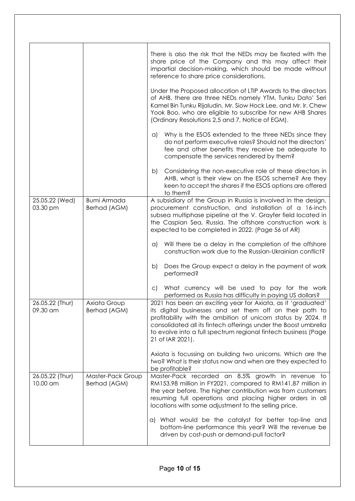|                             |                                    | There is also the risk that the NEDs may be fixated with the<br>share price of the Company and this may affect their<br>impartial decision-making, which should be made without<br>reference to share price considerations.                                                                                                                        |
|-----------------------------|------------------------------------|----------------------------------------------------------------------------------------------------------------------------------------------------------------------------------------------------------------------------------------------------------------------------------------------------------------------------------------------------|
|                             |                                    | Under the Proposed allocation of LTIP Awards to the directors<br>of AHB, there are three NEDs namely YTM. Tunku Dato' Seri<br>Kamel Bin Tunku Rijaludin, Mr. Siow Hock Lee, and Mr. Ir. Chew<br>Yook Boo, who are eligible to subscribe for new AHB Shares<br>(Ordinary Resolutions 2,5 and 7, Notice of EGM).                                     |
|                             |                                    | Why is the ESOS extended to the three NEDs since they<br>a)<br>do not perform executive roles? Should not the directors'<br>fee and other benefits they receive be adequate to<br>compensate the services rendered by them?                                                                                                                        |
|                             |                                    | Considering the non-executive role of these directors in<br>b)<br>AHB, what is their view on the ESOS scheme? Are they<br>keen to accept the shares if the ESOS options are offered<br>to them?                                                                                                                                                    |
| 25.05.22 (Wed)<br>03.30 pm  | <b>Bumi Armada</b><br>Berhad (AGM) | A subsidiary of the Group in Russia is involved in the design,<br>procurement construction, and installation of a 16-inch<br>subsea multiphase pipeline at the V. Grayfer field located in<br>the Caspian Sea, Russia. The offshore construction work is<br>expected to be completed in 2022. (Page 56 of AR)                                      |
|                             |                                    | Will there be a delay in the completion of the offshore<br>$\alpha$<br>construction work due to the Russian-Ukrainian conflict?                                                                                                                                                                                                                    |
|                             |                                    | Does the Group expect a delay in the payment of work<br>b)<br>performed?                                                                                                                                                                                                                                                                           |
|                             |                                    | What currency will be used to pay for the work<br>$\mathsf{C}$<br>performed as Russia has difficulty in paying US dollars?                                                                                                                                                                                                                         |
| 26.05.22 (Thur)<br>09.30 am | Axiata Group<br>Berhad (AGM)       | 2021 has been an exciting year for Axiata, as it 'graduated'<br>its digital businesses and set them off on their path to<br>profitability with the ambition of unicorn status by 2024. It<br>consolidated all its fintech offerings under the Boost umbrella<br>to evolve into a full spectrum regional fintech business (Page<br>21 of IAR 2021). |
|                             |                                    | Axiata is focussing on building two unicorns. Which are the<br>two? What is their status now and when are they expected to<br>be profitable?                                                                                                                                                                                                       |
| 26.05.22 (Thur)<br>10.00 am | Master-Pack Group<br>Berhad (AGM)  | Master-Pack recorded an 8.5% growth in revenue to<br>RM153.98 million in FY2021, compared to RM141.87 million in<br>the year before. The higher contribution was from customers<br>resuming full operations and placing higher orders in all<br>locations with some adjustment to the selling price.                                               |
|                             |                                    | a) What would be the catalyst for better top-line and<br>bottom-line performance this year? Will the revenue be<br>driven by cost-push or demand-pull factor?                                                                                                                                                                                      |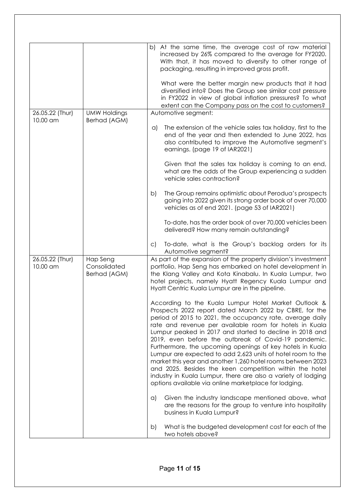|                             |                                          | b) At the same time, the average cost of raw material<br>increased by 26% compared to the average for FY2020.<br>With that, it has moved to diversify to other range of<br>packaging, resulting in improved gross profit.                                                                                                                                                                                                                                                                                                                                                                                                                                                                                                                   |
|-----------------------------|------------------------------------------|---------------------------------------------------------------------------------------------------------------------------------------------------------------------------------------------------------------------------------------------------------------------------------------------------------------------------------------------------------------------------------------------------------------------------------------------------------------------------------------------------------------------------------------------------------------------------------------------------------------------------------------------------------------------------------------------------------------------------------------------|
|                             |                                          | What were the better margin new products that it had<br>diversified into? Does the Group see similar cost pressure<br>in FY2022 in view of global inflation pressures? To what<br>extent can the Company pass on the cost to customers?                                                                                                                                                                                                                                                                                                                                                                                                                                                                                                     |
| 26.05.22 (Thur)             | <b>UMW Holdings</b>                      | Automotive segment:                                                                                                                                                                                                                                                                                                                                                                                                                                                                                                                                                                                                                                                                                                                         |
| 10.00 am                    | Berhad (AGM)                             | The extension of the vehicle sales tax holiday, first to the<br>$\alpha$<br>end of the year and then extended to June 2022, has<br>also contributed to improve the Automotive segment's<br>earnings. (page 19 of IAR2021)                                                                                                                                                                                                                                                                                                                                                                                                                                                                                                                   |
|                             |                                          | Given that the sales tax holiday is coming to an end,<br>what are the odds of the Group experiencing a sudden<br>vehicle sales contraction?                                                                                                                                                                                                                                                                                                                                                                                                                                                                                                                                                                                                 |
|                             |                                          | The Group remains optimistic about Perodua's prospects<br>b)<br>going into 2022 given its strong order book of over 70,000<br>vehicles as of end 2021. (page 53 of IAR2021)                                                                                                                                                                                                                                                                                                                                                                                                                                                                                                                                                                 |
|                             |                                          | To-date, has the order book of over 70,000 vehicles been<br>delivered? How many remain outstanding?                                                                                                                                                                                                                                                                                                                                                                                                                                                                                                                                                                                                                                         |
|                             |                                          | To-date, what is the Group's backlog orders for its<br>$\mathsf{C}$<br>Automotive segment?                                                                                                                                                                                                                                                                                                                                                                                                                                                                                                                                                                                                                                                  |
| 26.05.22 (Thur)<br>10.00 am | Hap Seng<br>Consolidated<br>Berhad (AGM) | As part of the expansion of the property division's investment<br>portfolio, Hap Seng has embarked on hotel development in<br>the Klang Valley and Kota Kinabalu. In Kuala Lumpur, two<br>hotel projects, namely Hyatt Regency Kuala Lumpur and<br>Hyatt Centric Kuala Lumpur are in the pipeline.                                                                                                                                                                                                                                                                                                                                                                                                                                          |
|                             |                                          | According to the Kuala Lumpur Hotel Market Outlook &<br>Prospects 2022 report dated March 2022 by CBRE, for the<br>period of 2015 to 2021, the occupancy rate, average daily<br>rate and revenue per available room for hotels in Kuala<br>Lumpur peaked in 2017 and started to decline in 2018 and<br>2019, even before the outbreak of Covid-19 pandemic.<br>Furthermore, the upcoming openings of key hotels in Kuala<br>Lumpur are expected to add 2,623 units of hotel room to the<br>market this year and another 1,260 hotel rooms between 2023<br>and 2025. Besides the keen competition within the hotel<br>industry in Kuala Lumpur, there are also a variety of lodging<br>options available via online marketplace for lodging. |
|                             |                                          | Given the industry landscape mentioned above, what<br>a)<br>are the reasons for the group to venture into hospitality<br>business in Kuala Lumpur?                                                                                                                                                                                                                                                                                                                                                                                                                                                                                                                                                                                          |
|                             |                                          | What is the budgeted development cost for each of the<br>b)<br>two hotels above?                                                                                                                                                                                                                                                                                                                                                                                                                                                                                                                                                                                                                                                            |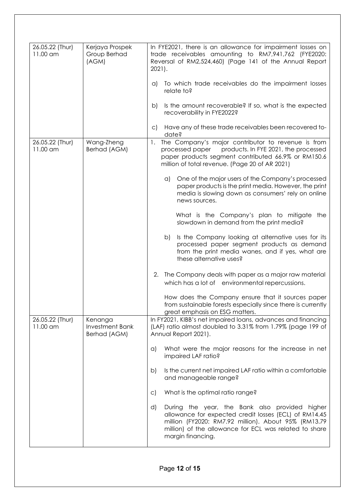| 26.05.22 (Thur)<br>11.00 am | Kerjaya Prospek<br>Group Berhad<br>(AGM)          | In FYE2021, there is an allowance for impairment losses on<br>trade receivables amounting to RM7,941,762 (FYE2020:<br>Reversal of RM2,524,460) (Page 141 of the Annual Report<br>2021).                                                              |
|-----------------------------|---------------------------------------------------|------------------------------------------------------------------------------------------------------------------------------------------------------------------------------------------------------------------------------------------------------|
|                             |                                                   | To which trade receivables do the impairment losses<br>a)<br>relate to?                                                                                                                                                                              |
|                             |                                                   | Is the amount recoverable? If so, what is the expected<br>b)<br>recoverability in FYE2022?                                                                                                                                                           |
|                             |                                                   | Have any of these trade receivables been recovered to-<br>$\subset$<br>date?                                                                                                                                                                         |
| 26.05.22 (Thur)<br>11.00 am | Wang-Zheng<br>Berhad (AGM)                        | The Company's major contributor to revenue is from<br>1.<br>products. In FYE 2021, the processed<br>processed paper<br>paper products segment contributed 66.9% or RM150.6<br>million of total revenue. (Page 20 of AR 2021)                         |
|                             |                                                   | One of the major users of the Company's processed<br>$\alpha$<br>paper products is the print media. However, the print<br>media is slowing down as consumers' rely on online<br>news sources.                                                        |
|                             |                                                   | What is the Company's plan to mitigate the<br>slowdown in demand from the print media?                                                                                                                                                               |
|                             |                                                   | Is the Company looking at alternative uses for its<br>b)<br>processed paper segment products as demand<br>from the print media wanes, and if yes, what are<br>these alternative uses?                                                                |
|                             |                                                   | The Company deals with paper as a major raw material<br>2.<br>which has a lot of environmental repercussions.                                                                                                                                        |
|                             |                                                   | How does the Company ensure that it sources paper<br>from sustainable forests especially since there is currently<br>great emphasis on ESG matters.                                                                                                  |
| 26.05.22 (Thur)<br>11.00 am | Kenanga<br><b>Investment Bank</b><br>Berhad (AGM) | In FY2021, KIBB's net impaired loans, advances and financing<br>(LAF) ratio almost doubled to 3.31% from 1.79% (page 199 of<br>Annual Report 2021).                                                                                                  |
|                             |                                                   | What were the major reasons for the increase in net<br>a)<br>impaired LAF ratio?                                                                                                                                                                     |
|                             |                                                   | Is the current net impaired LAF ratio within a comfortable<br>b)<br>and manageable range?                                                                                                                                                            |
|                             |                                                   | What is the optimal ratio range?<br>$\circ$ )                                                                                                                                                                                                        |
|                             |                                                   | During the year, the Bank also provided higher<br>d)<br>allowance for expected credit losses (ECL) of RM14.45<br>million (FY2020: RM7.92 million). About 95% (RM13.79<br>million) of the allowance for ECL was related to share<br>margin financing. |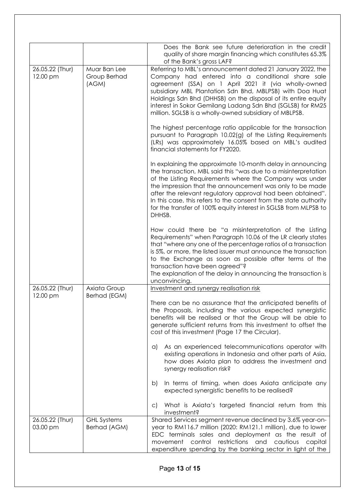|                             |                                       | Does the Bank see future deterioration in the credit<br>quality of share margin financing which constitutes 65.3%<br>of the Bank's gross LAF?                                                                                                                                                                                                                                                                                                                                                                                                                                                                                                                                                                                                                                                                                                                                                                                                                                                                                                                                                                                                                                                                                                                                                                                                                                                                                                                                          |
|-----------------------------|---------------------------------------|----------------------------------------------------------------------------------------------------------------------------------------------------------------------------------------------------------------------------------------------------------------------------------------------------------------------------------------------------------------------------------------------------------------------------------------------------------------------------------------------------------------------------------------------------------------------------------------------------------------------------------------------------------------------------------------------------------------------------------------------------------------------------------------------------------------------------------------------------------------------------------------------------------------------------------------------------------------------------------------------------------------------------------------------------------------------------------------------------------------------------------------------------------------------------------------------------------------------------------------------------------------------------------------------------------------------------------------------------------------------------------------------------------------------------------------------------------------------------------------|
| 26.05.22 (Thur)<br>12.00 pm | Muar Ban Lee<br>Group Berhad<br>(AGM) | Referring to MBL's announcement dated 21 January 2022, the<br>Company had entered into a conditional share sale<br>agreement (SSA) on 1 April 2021 it (via wholly-owned<br>subsidiary MBL Plantation Sdn Bhd, MBLPSB) with Doa Huat<br>Holdings Sdn Bhd (DHHSB) on the disposal of its entire equity<br>interest in Sokor Gemilang Ladang Sdn Bhd (SGLSB) for RM25<br>million. SGLSB is a wholly-owned subsidiary of MBLPSB.<br>The highest percentage ratio applicable for the transaction<br>pursuant to Paragraph 10.02(g) of the Listing Requirements<br>(LRs) was approximately 16.05% based on MBL's audited<br>financial statements for FY2020.<br>In explaining the approximate 10-month delay in announcing<br>the transaction, MBL said this "was due to a misinterpretation<br>of the Listing Requirements where the Company was under<br>the impression that the announcement was only to be made<br>after the relevant regulatory approval had been obtained".<br>In this case, this refers to the consent from the state authority<br>for the transfer of 100% equity interest in SGLSB from MLPSB to<br>DHHSB.<br>How could there be "a misinterpretation of the Listing<br>Requirements" when Paragraph 10.06 of the LR clearly states<br>that "where any one of the percentage ratios of a transaction<br>is 5%, or more, the listed issuer must announce the transaction<br>to the Exchange as soon as possible after terms of the<br>transaction have been agreed"? |
|                             |                                       | The explanation of the delay in announcing the transaction is<br>unconvincing.                                                                                                                                                                                                                                                                                                                                                                                                                                                                                                                                                                                                                                                                                                                                                                                                                                                                                                                                                                                                                                                                                                                                                                                                                                                                                                                                                                                                         |
| 26.05.22 (Thur)<br>12.00 pm | Axiata Group<br>Berhad (EGM)          | Investment and synergy realisation risk<br>There can be no assurance that the anticipated benefits of<br>the Proposals, including the various expected synergistic<br>benefits will be realised or that the Group will be able to<br>generate sufficient returns from this investment to offset the<br>cost of this investment (Page 17 the Circular).<br>As an experienced telecommunications operator with<br>a)<br>existing operations in Indonesia and other parts of Asia,<br>how does Axiata plan to address the investment and<br>synergy realisation risk?<br>In terms of timing, when does Axiata anticipate any<br>b)<br>expected synergistic benefits to be realised?<br>What is Axiata's targeted financial return from this<br>$\mathsf{C}$<br>investment?                                                                                                                                                                                                                                                                                                                                                                                                                                                                                                                                                                                                                                                                                                                |
| 26.05.22 (Thur)<br>03.00 pm | <b>GHL Systems</b><br>Berhad (AGM)    | Shared Services segment revenue declined by 3.6% year-on-<br>year to RM116.7 million (2020: RM121.1 million), due to lower<br>EDC terminals sales and deployment as the result of<br>control<br>restrictions and<br>cautious<br>movement<br>capital<br>expenditure spending by the banking sector in light of the                                                                                                                                                                                                                                                                                                                                                                                                                                                                                                                                                                                                                                                                                                                                                                                                                                                                                                                                                                                                                                                                                                                                                                      |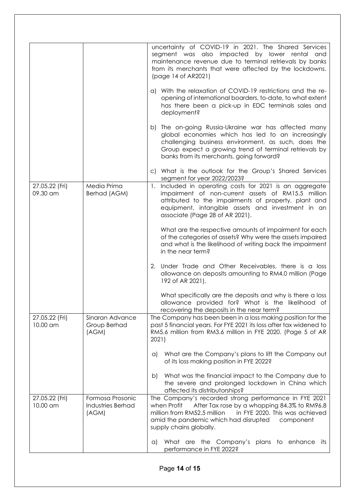|                            |                                                | uncertainty of COVID-19 in 2021. The Shared Services<br>segment was also impacted by lower rental and<br>maintenance revenue due to terminal retrievals by banks<br>from its merchants that were affected by the lockdowns.<br>(page 14 of AR2021)                     |
|----------------------------|------------------------------------------------|------------------------------------------------------------------------------------------------------------------------------------------------------------------------------------------------------------------------------------------------------------------------|
|                            |                                                | a) With the relaxation of COVID-19 restrictions and the re-<br>opening of international boarders, to-date, to what extent<br>has there been a pick-up in EDC terminals sales and<br>deployment?                                                                        |
|                            |                                                | b) The on-going Russia-Ukraine war has affected many<br>global economies which has led to an increasingly<br>challenging business environment, as such, does the<br>Group expect a growing trend of terminal retrievals by<br>banks from its merchants, going forward? |
|                            |                                                | c) What is the outlook for the Group's Shared Services<br>segment for year 2022/2023?                                                                                                                                                                                  |
| 27.05.22 (Fri)<br>09.30 am | Media Prima<br>Berhad (AGM)                    | Included in operating costs for 2021 is an aggregate<br>1.<br>impairment of non-current assets of RM15.5 million<br>attributed to the impairments of property, plant and<br>equipment, intangible assets and investment in an<br>associate (Page 28 of AR 2021).       |
|                            |                                                | What are the respective amounts of impairment for each<br>of the categories of assets? Why were the assets impaired<br>and what is the likelihood of writing back the impairment<br>in the near term?                                                                  |
|                            |                                                | 2. Under Trade and Other Receivables, there is a loss<br>allowance on deposits amounting to RM4.0 million (Page<br>192 of AR 2021).                                                                                                                                    |
|                            |                                                | What specifically are the deposits and why is there a loss<br>allowance provided for? What is the likelihood of<br>recovering the deposits in the near term?                                                                                                           |
| 27.05.22 (Fri)<br>10.00 am | Sinaran Advance<br>Group Berhad<br>(AGM)       | The Company has been been in a loss making position for the<br>past 5 financial years. For FYE 2021 its loss after tax widened to<br>RM5.6 million from RM3.6 million in FYE 2020. (Page 5 of AR<br>2021)                                                              |
|                            |                                                | What are the Company's plans to lift the Company out<br>a)<br>of its loss making position in FYE 2022?                                                                                                                                                                 |
|                            |                                                | What was the financial impact to the Company due to<br>b)<br>the severe and prolonged lockdown in China which<br>affected its distributorships?                                                                                                                        |
| 27.05.22 (Fri)<br>10.00 am | Formosa Prosonic<br>Industries Berhad<br>(AGM) | The Company's recorded strong performance in FYE 2021<br>After Tax rose by a whopping 84.3% to RM96.8<br>when Profit<br>million from RM52.5 million<br>in FYE 2020. This was achieved<br>amid the pandemic which had disrupted<br>component<br>supply chains globally. |
|                            |                                                | What are the Company's plans to enhance its<br>$\alpha$<br>performance in FYE 2022?                                                                                                                                                                                    |